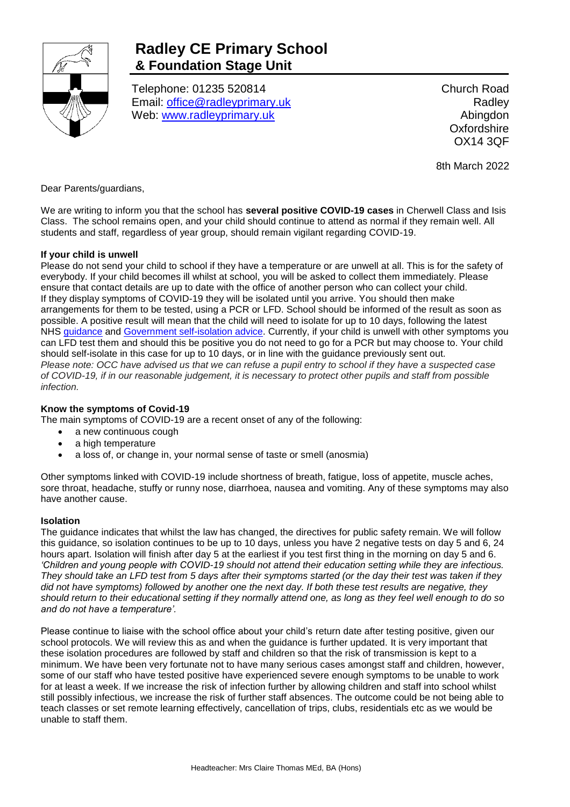

# **Radley CE Primary School & Foundation Stage Unit**

Telephone: 01235 520814 Email: [office@radleyprimary.uk](mailto:office@radleyprimary.uk) Web: [www.radleyprimary.uk](http://www.radleyprimary.uk/)

Church Road **Radley** Abingdon **Oxfordshire** OX14 3QF

8th March 2022

Dear Parents/guardians,

We are writing to inform you that the school has **several positive COVID-19 cases** in Cherwell Class and Isis Class. The school remains open, and your child should continue to attend as normal if they remain well. All students and staff, regardless of year group, should remain vigilant regarding COVID-19.

### **If your child is unwell**

Please do not send your child to school if they have a temperature or are unwell at all. This is for the safety of everybody. If your child becomes ill whilst at school, you will be asked to collect them immediately. Please ensure that contact details are up to date with the office of another person who can collect your child. If they display symptoms of COVID-19 they will be isolated until you arrive. You should then make arrangements for them to be tested, using a PCR or LFD. School should be informed of the result as soon as possible. A positive result will mean that the child will need to isolate for up to 10 days, following the latest NHS [guidance](https://www.nhs.uk/conditions/coronavirus-covid-19/self-isolation-and-treatment/when-to-self-isolate-and-what-to-do/) and [Government self-isolation advice.](https://www.gov.uk/government/publications/covid-19-people-with-covid-19-and-their-contacts/covid-19-people-with-covid-19-and-their-contacts) Currently, if your child is unwell with other symptoms you can LFD test them and should this be positive you do not need to go for a PCR but may choose to. Your child should self-isolate in this case for up to 10 days, or in line with the guidance previously sent out. *Please note: OCC have advised us that we can refuse a pupil entry to school if they have a suspected case of COVID-19, if in our reasonable judgement, it is necessary to protect other pupils and staff from possible infection.* 

## **Know the symptoms of Covid-19**

The main symptoms of COVID-19 are a recent onset of any of the following:

- a new continuous cough
- a high temperature
- a loss of, or change in, your normal sense of taste or smell (anosmia)

Other symptoms linked with COVID-19 include shortness of breath, fatigue, loss of appetite, muscle aches, sore throat, headache, stuffy or runny nose, diarrhoea, nausea and vomiting. Any of these symptoms may also have another cause.

### **Isolation**

The guidance indicates that whilst the law has changed, the directives for public safety remain. We will follow this guidance, so isolation continues to be up to 10 days, unless you have 2 negative tests on day 5 and 6, 24 hours apart. Isolation will finish after day 5 at the earliest if you test first thing in the morning on day 5 and 6. *'Children and young people with COVID-19 should not attend their education setting while they are infectious. They should take an LFD test from 5 days after their symptoms started (or the day their test was taken if they did not have symptoms) followed by another one the next day. If both these test results are negative, they should return to their educational setting if they normally attend one, as long as they feel well enough to do so and do not have a temperature'.*

Please continue to liaise with the school office about your child's return date after testing positive, given our school protocols. We will review this as and when the guidance is further updated. It is very important that these isolation procedures are followed by staff and children so that the risk of transmission is kept to a minimum. We have been very fortunate not to have many serious cases amongst staff and children, however, some of our staff who have tested positive have experienced severe enough symptoms to be unable to work for at least a week. If we increase the risk of infection further by allowing children and staff into school whilst still possibly infectious, we increase the risk of further staff absences. The outcome could be not being able to teach classes or set remote learning effectively, cancellation of trips, clubs, residentials etc as we would be unable to staff them.